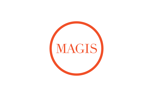